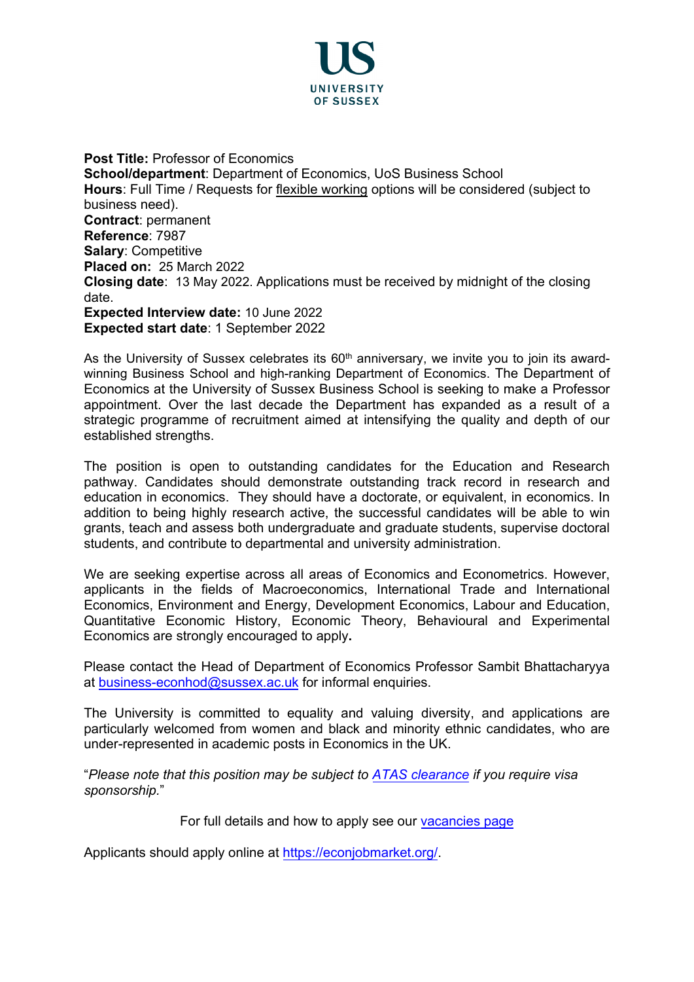

**Post Title: Professor of Economics School/department**: Department of Economics, UoS Business School **Hours**: Full Time / Requests for [flexible working](http://www.sussex.ac.uk/humanresources/personnel/flexible-working) options will be considered (subject to business need). **Contract**: permanent **Reference**: 7987 **Salary**: Competitive **Placed on:** 25 March 2022 **Closing date**: 13 May 2022. Applications must be received by midnight of the closing date. **Expected Interview date:** 10 June 2022 **Expected start date**: 1 September 2022

As the University of Sussex celebrates its  $60<sup>th</sup>$  anniversary, we invite you to join its awardwinning Business School and high-ranking Department of Economics. The Department of Economics at the University of Sussex Business School is seeking to make a Professor appointment. Over the last decade the Department has expanded as a result of a strategic programme of recruitment aimed at intensifying the quality and depth of our established strengths.

The position is open to outstanding candidates for the Education and Research pathway. Candidates should demonstrate outstanding track record in research and education in economics. They should have a doctorate, or equivalent, in economics. In addition to being highly research active, the successful candidates will be able to win grants, teach and assess both undergraduate and graduate students, supervise doctoral students, and contribute to departmental and university administration.

We are seeking expertise across all areas of Economics and Econometrics. However, applicants in the fields of Macroeconomics, International Trade and International Economics, Environment and Energy, Development Economics, Labour and Education, Quantitative Economic History, Economic Theory, Behavioural and Experimental Economics are strongly encouraged to apply**.**

Please contact the Head of Department of Economics Professor Sambit Bhattacharyya at [business-econhod@sussex.ac.uk](mailto:business-econhod@sussex.ac.uk) for informal enquiries.

The University is committed to equality and valuing diversity, and applications are particularly welcomed from women and black and minority ethnic candidates, who are under-represented in academic posts in Economics in the UK.

"*Please note that this position may be subject t[o ATAS clearance](https://www.gov.uk/guidance/academic-technology-approval-scheme) if you require visa sponsorship.*"

For full details and how to apply see our [vacancies page](http://www.sussex.ac.uk/about/jobs)

Applicants should apply online at [https://econjobmarket.org/.](https://econjobmarket.org/)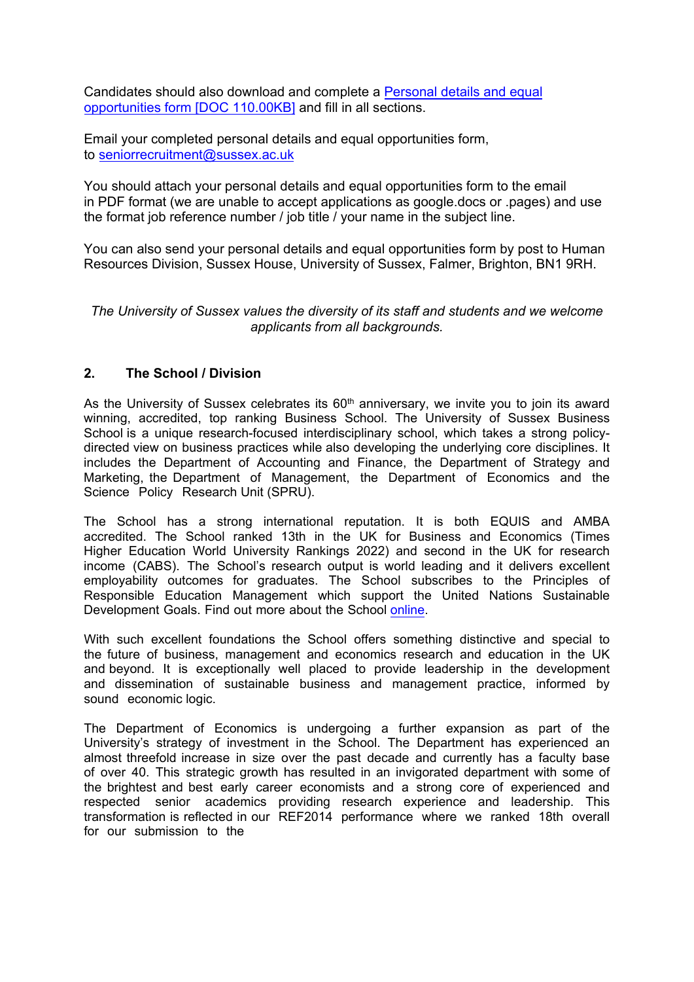Candidates should also download and complete a Personal details and equal opportunities form [DOC 110.00KB] and fill in all sections.

Email your completed personal details and equal [opportunities form,](https://www.sussex.ac.uk/about/documents/personal-data-equal-opps-form-january-2020.doc)  to seniorrecruitment@sussex.ac.uk

[You should attach your](https://www.sussex.ac.uk/about/documents/personal-data-equal-opps-form-january-2020.doc) personal details and equal opportunities form to the email in PDF format (we are unable to accept applications as google.docs or .pages) and use the format job [reference number / j](mailto:usbsrecruitment@sussex.ac.uk)ob title / your name in the subject line.

You can also send your personal details and equal opportunities form by post to Human Resources Division, Sussex House, University of Sussex, Falmer, Brighton, BN1 9RH.

*The University of Sussex values the diversity of its staff and students and we welcome applicants from all backgrounds.* 

### **2. The School / Division**

As the University of Sussex celebrates its  $60<sup>th</sup>$  anniversary, we invite you to join its award winning, accredited, top ranking Business School. The University of Sussex Business School is a unique research-focused interdisciplinary school, which takes a strong policydirected view on business practices while also developing the underlying core disciplines. It includes the Department of Accounting and Finance, the Department of Strategy and Marketing, the Department of Management, the Department of Economics and the Science Policy Research Unit (SPRU).

The School has a strong international reputation. It is both EQUIS and AMBA accredited. The School ranked 13th in the UK for Business and Economics (Times Higher Education World University Rankings 2022) and second in the UK for research income (CABS). The School's research output is world leading and it delivers excellent employability outcomes for graduates. The School subscribes to the Principles of Responsible Education Management which support the United Nations Sustainable Development Goals. Find out more about the School [online.](https://www.sussex.ac.uk/business-school/)

With such excellent foundations the School offers something distinctive and special to the future of business, management and economics research and education in the UK and beyond. It is exceptionally well placed to provide leadership in the development and dissemination of sustainable business and management practice, informed by sound economic logic.

The Department of Economics is undergoing a further expansion as part of the University's strategy of investment in the School. The Department has experienced an almost threefold increase in size over the past decade and currently has a faculty base of over 40. This strategic growth has resulted in an invigorated department with some of the brightest and best early career economists and a strong core of experienced and respected senior academics providing research experience and leadership. This transformation is reflected in our REF2014 performance where we ranked 18th overall for our submission to the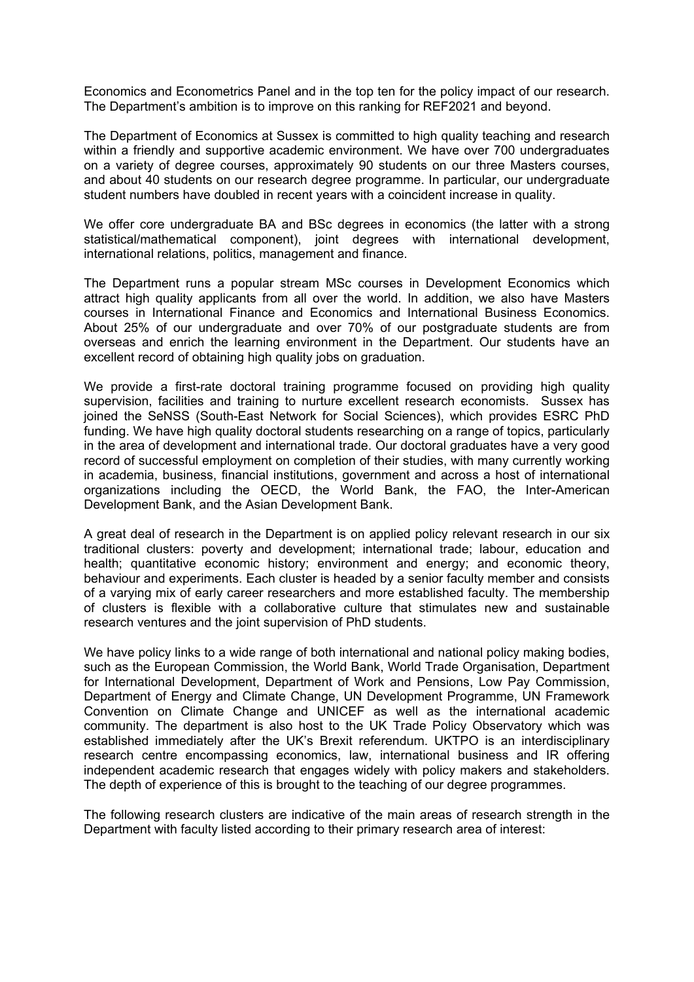Economics and Econometrics Panel and in the top ten for the policy impact of our research. The Department's ambition is to improve on this ranking for REF2021 and beyond.

The Department of Economics at Sussex is committed to high quality teaching and research within a friendly and supportive academic environment. We have over 700 undergraduates on a variety of degree courses, approximately 90 students on our three Masters courses, and about 40 students on our research degree programme. In particular, our undergraduate student numbers have doubled in recent years with a coincident increase in quality.

We offer core undergraduate BA and BSc degrees in economics (the latter with a strong statistical/mathematical component), joint degrees with international development, international relations, politics, management and finance.

The Department runs a popular stream MSc courses in Development Economics which attract high quality applicants from all over the world. In addition, we also have Masters courses in International Finance and Economics and International Business Economics. About 25% of our undergraduate and over 70% of our postgraduate students are from overseas and enrich the learning environment in the Department. Our students have an excellent record of obtaining high quality jobs on graduation.

We provide a first-rate doctoral training programme focused on providing high quality supervision, facilities and training to nurture excellent research economists. Sussex has joined the SeNSS (South-East Network for Social Sciences), which provides ESRC PhD funding. We have high quality doctoral students researching on a range of topics, particularly in the area of development and international trade. Our doctoral graduates have a very good record of successful employment on completion of their studies, with many currently working in academia, business, financial institutions, government and across a host of international organizations including the OECD, the World Bank, the FAO, the Inter-American Development Bank, and the Asian Development Bank.

A great deal of research in the Department is on applied policy relevant research in our six traditional clusters: poverty and development; international trade; labour, education and health; quantitative economic history; environment and energy; and economic theory, behaviour and experiments. Each cluster is headed by a senior faculty member and consists of a varying mix of early career researchers and more established faculty. The membership of clusters is flexible with a collaborative culture that stimulates new and sustainable research ventures and the joint supervision of PhD students.

We have policy links to a wide range of both international and national policy making bodies, such as the European Commission, the World Bank, World Trade Organisation, Department for International Development, Department of Work and Pensions, Low Pay Commission, Department of Energy and Climate Change, UN Development Programme, UN Framework Convention on Climate Change and UNICEF as well as the international academic community. The department is also host to the UK Trade Policy Observatory which was established immediately after the UK's Brexit referendum. UKTPO is an interdisciplinary research centre encompassing economics, law, international business and IR offering independent academic research that engages widely with policy makers and stakeholders. The depth of experience of this is brought to the teaching of our degree programmes.

The following research clusters are indicative of the main areas of research strength in the Department with faculty listed according to their primary research area of interest: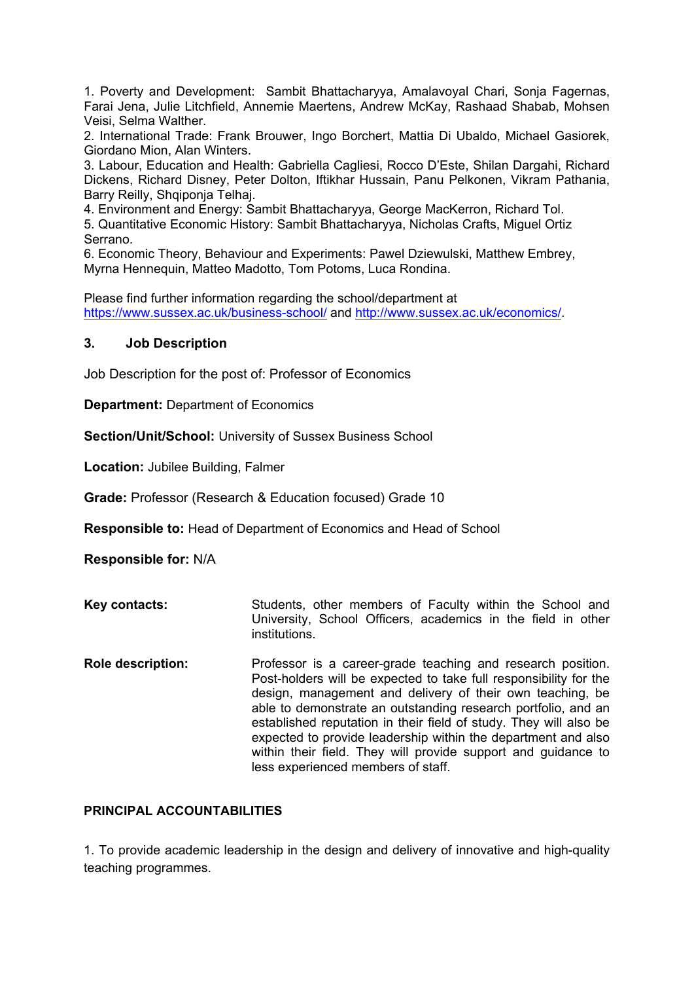1. Poverty and Development: Sambit Bhattacharyya, Amalavoyal Chari, Sonja Fagernas, Farai Jena, Julie Litchfield, Annemie Maertens, Andrew McKay, Rashaad Shabab, Mohsen Veisi, Selma Walther.

2. International Trade: Frank Brouwer, Ingo Borchert, Mattia Di Ubaldo, Michael Gasiorek, Giordano Mion, Alan Winters.

3. Labour, Education and Health: Gabriella Cagliesi, Rocco D'Este, Shilan Dargahi, Richard Dickens, Richard Disney, Peter Dolton, Iftikhar Hussain, Panu Pelkonen, Vikram Pathania, Barry Reilly, Shqiponja Telhaj.

4. Environment and Energy: Sambit Bhattacharyya, George MacKerron, Richard Tol.

5. Quantitative Economic History: Sambit Bhattacharyya, Nicholas Crafts, Miguel Ortiz Serrano.

6. Economic Theory, Behaviour and Experiments: Pawel Dziewulski, Matthew Embrey, Myrna Hennequin, Matteo Madotto, Tom Potoms, Luca Rondina.

Please find further information regarding the school/department at <https://www.sussex.ac.uk/business-school/> and [http://www.sussex.ac.uk/economics/.](http://www.sussex.ac.uk/economics/)

#### **3. Job Description**

Job Description for the post of: Professor of Economics

**Department:** Department of Economics

**Section/Unit/School:** University of Sussex Business School

**Location:** Jubilee Building, Falmer

**Grade:** Professor (Research & Education focused) Grade 10

**Responsible to:** Head of Department of Economics and Head of School

**Responsible for:** N/A

- **Key contacts:** Students, other members of Faculty within the School and University, School Officers, academics in the field in other institutions.
- **Role description:** Professor is a career-grade teaching and research position. Post-holders will be expected to take full responsibility for the design, management and delivery of their own teaching, be able to demonstrate an outstanding research portfolio, and an established reputation in their field of study. They will also be expected to provide leadership within the department and also within their field. They will provide support and guidance to less experienced members of staff.

#### **PRINCIPAL ACCOUNTABILITIES**

1. To provide academic leadership in the design and delivery of innovative and high-quality teaching programmes.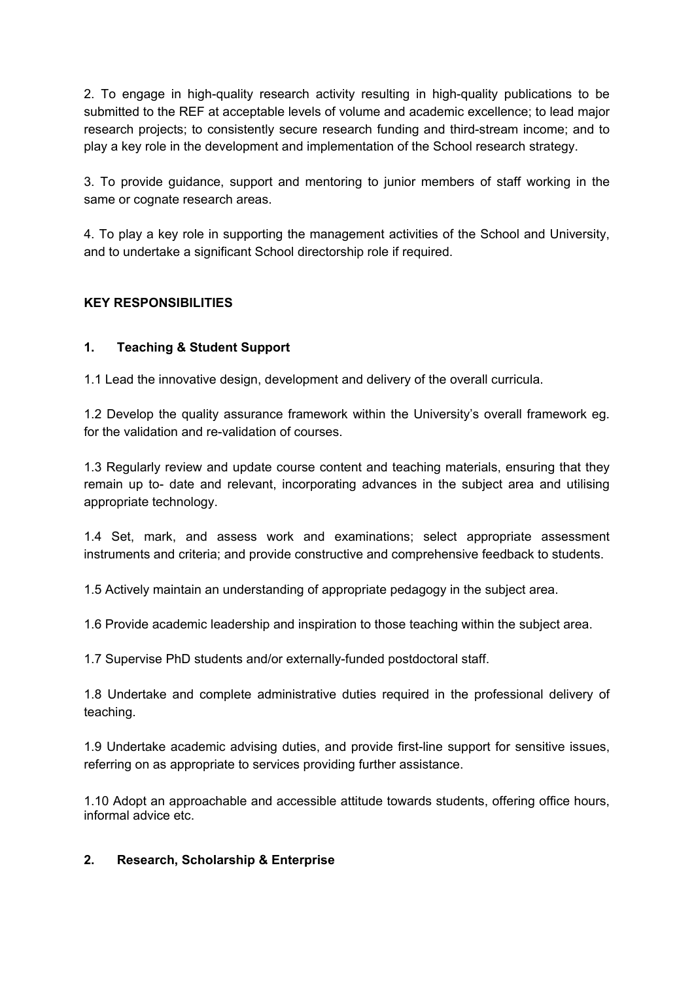2. To engage in high-quality research activity resulting in high-quality publications to be submitted to the REF at acceptable levels of volume and academic excellence; to lead major research projects; to consistently secure research funding and third-stream income; and to play a key role in the development and implementation of the School research strategy.

3. To provide guidance, support and mentoring to junior members of staff working in the same or cognate research areas.

4. To play a key role in supporting the management activities of the School and University, and to undertake a significant School directorship role if required.

# **KEY RESPONSIBILITIES**

# **1. Teaching & Student Support**

1.1 Lead the innovative design, development and delivery of the overall curricula.

1.2 Develop the quality assurance framework within the University's overall framework eg. for the validation and re-validation of courses.

1.3 Regularly review and update course content and teaching materials, ensuring that they remain up to- date and relevant, incorporating advances in the subject area and utilising appropriate technology.

1.4 Set, mark, and assess work and examinations; select appropriate assessment instruments and criteria; and provide constructive and comprehensive feedback to students.

1.5 Actively maintain an understanding of appropriate pedagogy in the subject area.

1.6 Provide academic leadership and inspiration to those teaching within the subject area.

1.7 Supervise PhD students and/or externally-funded postdoctoral staff.

1.8 Undertake and complete administrative duties required in the professional delivery of teaching.

1.9 Undertake academic advising duties, and provide first-line support for sensitive issues, referring on as appropriate to services providing further assistance.

1.10 Adopt an approachable and accessible attitude towards students, offering office hours, informal advice etc.

### **2. Research, Scholarship & Enterprise**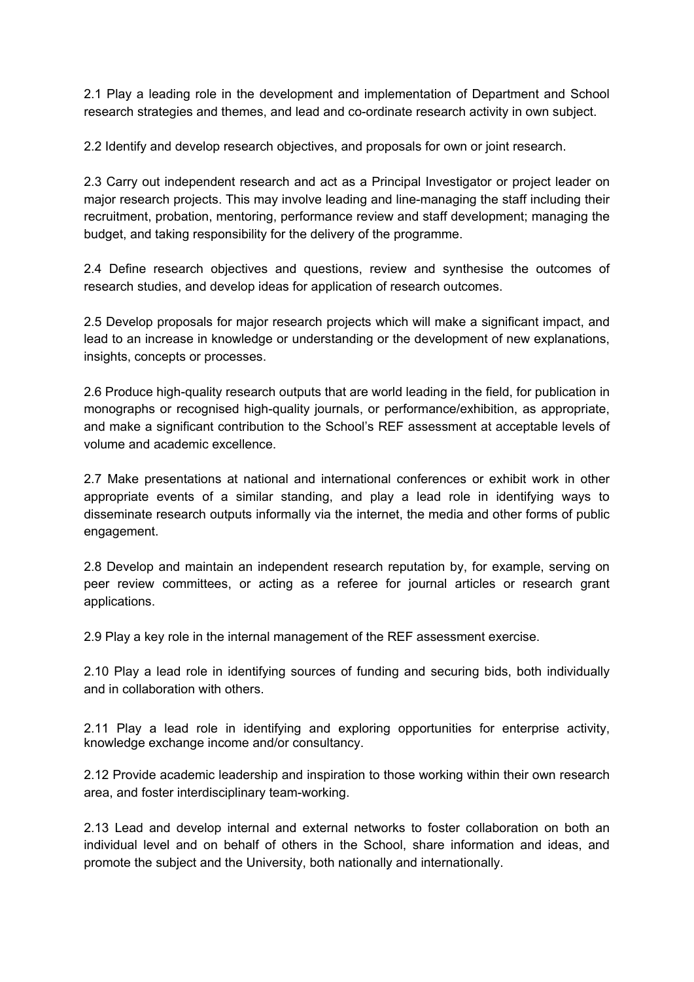2.1 Play a leading role in the development and implementation of Department and School research strategies and themes, and lead and co-ordinate research activity in own subject.

2.2 Identify and develop research objectives, and proposals for own or joint research.

2.3 Carry out independent research and act as a Principal Investigator or project leader on major research projects. This may involve leading and line-managing the staff including their recruitment, probation, mentoring, performance review and staff development; managing the budget, and taking responsibility for the delivery of the programme.

2.4 Define research objectives and questions, review and synthesise the outcomes of research studies, and develop ideas for application of research outcomes.

2.5 Develop proposals for major research projects which will make a significant impact, and lead to an increase in knowledge or understanding or the development of new explanations, insights, concepts or processes.

2.6 Produce high-quality research outputs that are world leading in the field, for publication in monographs or recognised high-quality journals, or performance/exhibition, as appropriate, and make a significant contribution to the School's REF assessment at acceptable levels of volume and academic excellence.

2.7 Make presentations at national and international conferences or exhibit work in other appropriate events of a similar standing, and play a lead role in identifying ways to disseminate research outputs informally via the internet, the media and other forms of public engagement.

2.8 Develop and maintain an independent research reputation by, for example, serving on peer review committees, or acting as a referee for journal articles or research grant applications.

2.9 Play a key role in the internal management of the REF assessment exercise.

2.10 Play a lead role in identifying sources of funding and securing bids, both individually and in collaboration with others.

2.11 Play a lead role in identifying and exploring opportunities for enterprise activity, knowledge exchange income and/or consultancy.

2.12 Provide academic leadership and inspiration to those working within their own research area, and foster interdisciplinary team-working.

2.13 Lead and develop internal and external networks to foster collaboration on both an individual level and on behalf of others in the School, share information and ideas, and promote the subject and the University, both nationally and internationally.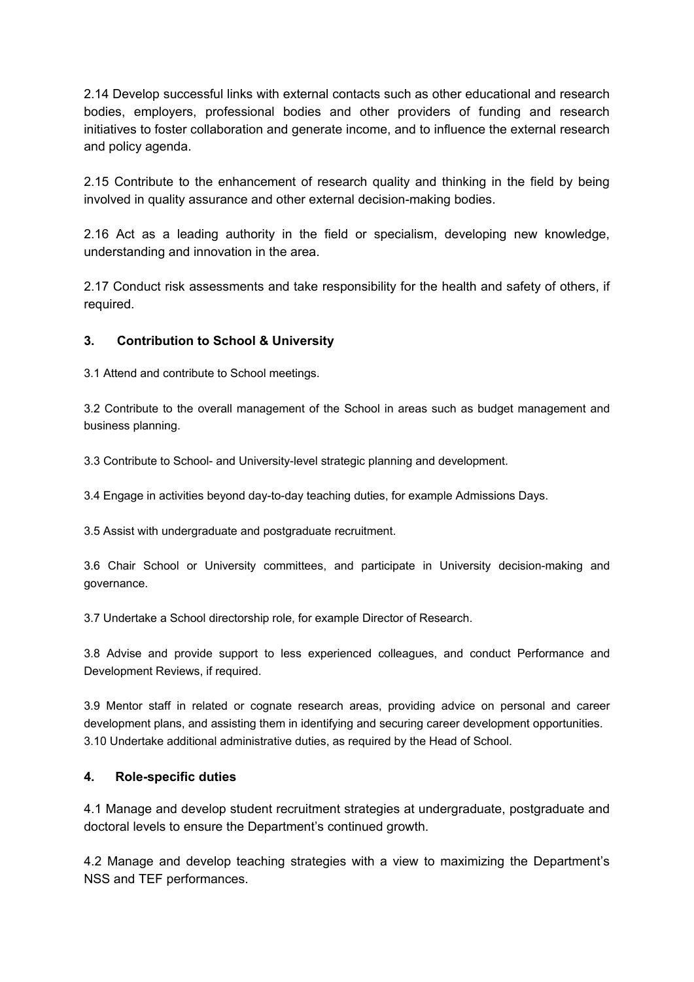2.14 Develop successful links with external contacts such as other educational and research bodies, employers, professional bodies and other providers of funding and research initiatives to foster collaboration and generate income, and to influence the external research and policy agenda.

2.15 Contribute to the enhancement of research quality and thinking in the field by being involved in quality assurance and other external decision-making bodies.

2.16 Act as a leading authority in the field or specialism, developing new knowledge, understanding and innovation in the area.

2.17 Conduct risk assessments and take responsibility for the health and safety of others, if required.

## **3. Contribution to School & University**

3.1 Attend and contribute to School meetings.

3.2 Contribute to the overall management of the School in areas such as budget management and business planning.

3.3 Contribute to School- and University-level strategic planning and development.

3.4 Engage in activities beyond day-to-day teaching duties, for example Admissions Days.

3.5 Assist with undergraduate and postgraduate recruitment.

3.6 Chair School or University committees, and participate in University decision-making and governance.

3.7 Undertake a School directorship role, for example Director of Research.

3.8 Advise and provide support to less experienced colleagues, and conduct Performance and Development Reviews, if required.

3.9 Mentor staff in related or cognate research areas, providing advice on personal and career development plans, and assisting them in identifying and securing career development opportunities. 3.10 Undertake additional administrative duties, as required by the Head of School.

### **4. Role-specific duties**

4.1 Manage and develop student recruitment strategies at undergraduate, postgraduate and doctoral levels to ensure the Department's continued growth.

4.2 Manage and develop teaching strategies with a view to maximizing the Department's NSS and TEF performances.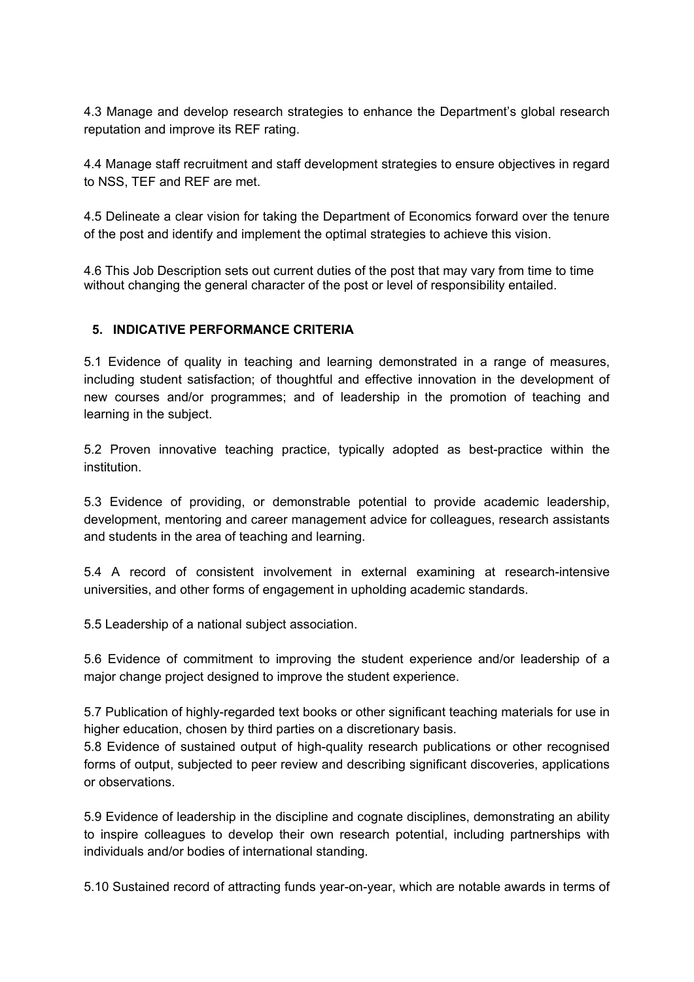4.3 Manage and develop research strategies to enhance the Department's global research reputation and improve its REF rating.

4.4 Manage staff recruitment and staff development strategies to ensure objectives in regard to NSS, TEF and REF are met.

4.5 Delineate a clear vision for taking the Department of Economics forward over the tenure of the post and identify and implement the optimal strategies to achieve this vision.

4.6 This Job Description sets out current duties of the post that may vary from time to time without changing the general character of the post or level of responsibility entailed.

## **5. INDICATIVE PERFORMANCE CRITERIA**

5.1 Evidence of quality in teaching and learning demonstrated in a range of measures, including student satisfaction; of thoughtful and effective innovation in the development of new courses and/or programmes; and of leadership in the promotion of teaching and learning in the subject.

5.2 Proven innovative teaching practice, typically adopted as best-practice within the institution.

5.3 Evidence of providing, or demonstrable potential to provide academic leadership, development, mentoring and career management advice for colleagues, research assistants and students in the area of teaching and learning.

5.4 A record of consistent involvement in external examining at research-intensive universities, and other forms of engagement in upholding academic standards.

5.5 Leadership of a national subject association.

5.6 Evidence of commitment to improving the student experience and/or leadership of a major change project designed to improve the student experience.

5.7 Publication of highly-regarded text books or other significant teaching materials for use in higher education, chosen by third parties on a discretionary basis.

5.8 Evidence of sustained output of high-quality research publications or other recognised forms of output, subjected to peer review and describing significant discoveries, applications or observations.

5.9 Evidence of leadership in the discipline and cognate disciplines, demonstrating an ability to inspire colleagues to develop their own research potential, including partnerships with individuals and/or bodies of international standing.

5.10 Sustained record of attracting funds year-on-year, which are notable awards in terms of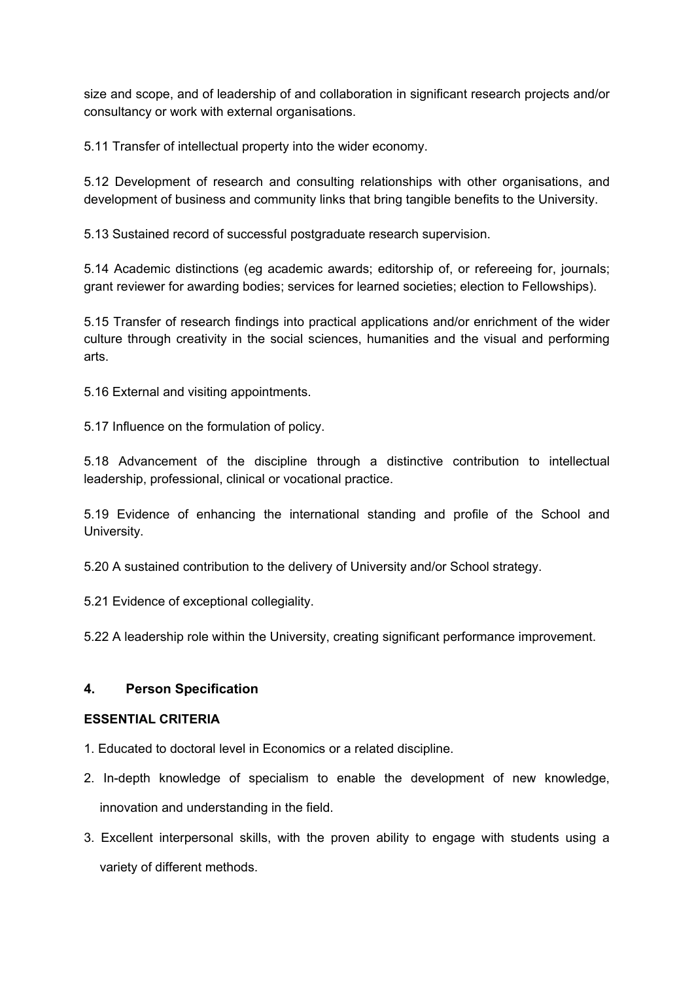size and scope, and of leadership of and collaboration in significant research projects and/or consultancy or work with external organisations.

5.11 Transfer of intellectual property into the wider economy.

5.12 Development of research and consulting relationships with other organisations, and development of business and community links that bring tangible benefits to the University.

5.13 Sustained record of successful postgraduate research supervision.

5.14 Academic distinctions (eg academic awards; editorship of, or refereeing for, journals; grant reviewer for awarding bodies; services for learned societies; election to Fellowships).

5.15 Transfer of research findings into practical applications and/or enrichment of the wider culture through creativity in the social sciences, humanities and the visual and performing arts.

5.16 External and visiting appointments.

5.17 Influence on the formulation of policy.

5.18 Advancement of the discipline through a distinctive contribution to intellectual leadership, professional, clinical or vocational practice.

5.19 Evidence of enhancing the international standing and profile of the School and University.

5.20 A sustained contribution to the delivery of University and/or School strategy.

5.21 Evidence of exceptional collegiality.

5.22 A leadership role within the University, creating significant performance improvement.

### **4. Person Specification**

### **ESSENTIAL CRITERIA**

- 1. Educated to doctoral level in Economics or a related discipline.
- 2. In-depth knowledge of specialism to enable the development of new knowledge, innovation and understanding in the field.
- 3. Excellent interpersonal skills, with the proven ability to engage with students using a variety of different methods.